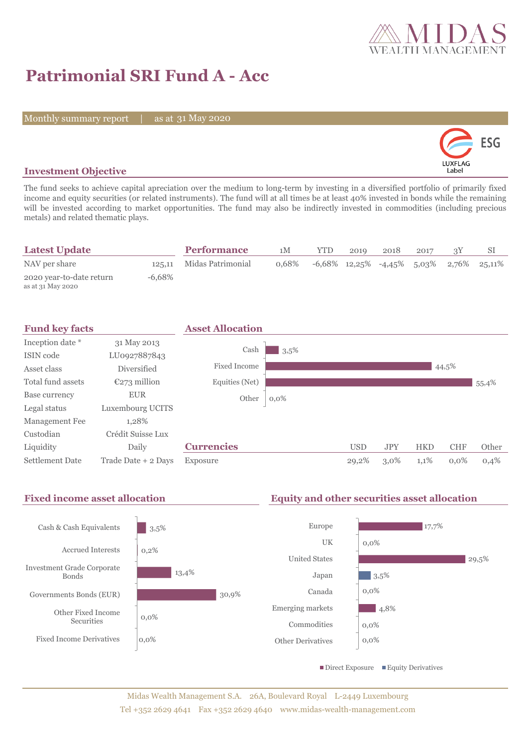

# **Patrimonial SRI Fund A - Acc**

Monthly summary report | as at 31 May 2020



### **Investment Objective**

The fund seeks to achieve capital apreciation over the medium to long-term by investing in a diversified portfolio of primarily fixed income and equity securities (or related instruments). The fund will at all times be at least 40% invested in bonds while the remaining will be invested according to market opportunities. The fund may also be indirectly invested in commodities (including precious metals) and related thematic plays.

| <b>Latest Update</b>                          |        | <b>Performance</b>       | 1M    | YTD. | 2019 | 2018 | 2017 | SI                                            |
|-----------------------------------------------|--------|--------------------------|-------|------|------|------|------|-----------------------------------------------|
| NAV per share                                 |        | 125,11 Midas Patrimonial | 0.68% |      |      |      |      | $-6,68\%$ 12,25% $-4,45\%$ 5,03% 2,76% 25,11% |
| 2020 year-to-date return<br>as at 31 May 2020 | -6.68% |                          |       |      |      |      |      |                                               |

| <b>Fund key facts</b>  |                     | <b>Asset Allocation</b> |         |            |            |            |            |       |
|------------------------|---------------------|-------------------------|---------|------------|------------|------------|------------|-------|
| Inception date *       | 31 May 2013         |                         |         |            |            |            |            |       |
| ISIN code              | LU0927887843        | Cash                    | 3,5%    |            |            |            |            |       |
| Asset class            | <b>Diversified</b>  | Fixed Income            |         |            |            |            | 44,5%      |       |
| Total fund assets      | $E273$ million      | Equities (Net)          |         |            |            |            |            | 55,4% |
| Base currency          | <b>EUR</b>          | Other                   | $0,0\%$ |            |            |            |            |       |
| Legal status           | Luxembourg UCITS    |                         |         |            |            |            |            |       |
| Management Fee         | 1,28%               |                         |         |            |            |            |            |       |
| Custodian              | Crédit Suisse Lux   |                         |         |            |            |            |            |       |
| Liquidity              | Daily               | <b>Currencies</b>       |         | <b>USD</b> | <b>JPY</b> | <b>HKD</b> | <b>CHF</b> | Other |
| <b>Settlement Date</b> | Trade Date + 2 Days | Exposure                |         | 29,2%      | $3,0\%$    | 1,1%       | $0.0\%$    | 0,4%  |

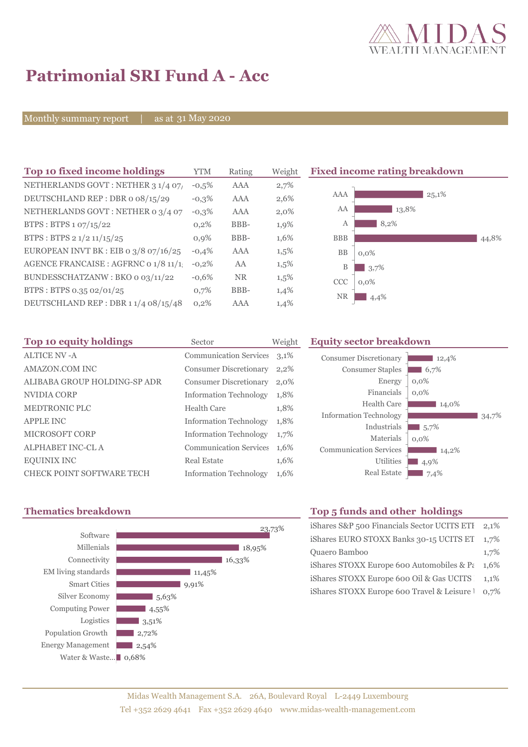

# **Patrimonial SRI Fund A - Acc**

Monthly summary report | as at 31 May 2020

| Top 10 fixed income holdings          | <b>YTM</b> | Rating     | Weigh   |
|---------------------------------------|------------|------------|---------|
| NETHERLANDS GOVT: NETHER 3 1/4 07/    | $-0.5%$    | <b>AAA</b> | 2,7%    |
| DEUTSCHLAND REP: DBR o 08/15/29       | $-0.3%$    | AAA        | 2,6%    |
| NETHERLANDS GOVT: NETHER 0 3/4 07     | $-0,3%$    | AAA        | $2,0\%$ |
| BTPS: BTPS 1 07/15/22                 | 0,2%       | BBB-       | 1,9%    |
| BTPS: BTPS 2 1/2 11/15/25             | 0.9%       | BBB-       | 1,6%    |
| EUROPEAN INVT BK : EIB o 3/8 07/16/25 | $-0.4%$    | AAA        | 1,5%    |
| AGENCE FRANCAISE : AGFRNC 0 1/8 11/1! | $-0,2%$    | AA         | 1,5%    |
| BUNDESSCHATZANW: BKO 0 03/11/22       | $-0.6%$    | <b>NR</b>  | 1,5%    |
| BTPS: BTPS 0.35 02/01/25              | 0,7%       | BBB-       | 1,4%    |
| DEUTSCHLAND REP: DBR 11/4 08/15/48    | 0,2%       | AAA        | 1,4%    |

**Fixed income rating breakdown** 



| Top 10 equity holdings           | Sector                        | Weight |
|----------------------------------|-------------------------------|--------|
| <b>ALTICE NV - A</b>             | <b>Communication Services</b> | 3,1%   |
| AMAZON.COM INC                   | <b>Consumer Discretionary</b> | 2,2%   |
| ALIBABA GROUP HOLDING-SP ADR     | <b>Consumer Discretionary</b> | 2,0%   |
| NVIDIA CORP                      | <b>Information Technology</b> | 1,8%   |
| <b>MEDTRONIC PLC</b>             | Health Care                   | 1,8%   |
| <b>APPLE INC</b>                 | <b>Information Technology</b> | 1,8%   |
| <b>MICROSOFT CORP</b>            | <b>Information Technology</b> | 1,7%   |
| <b>ALPHABET INC-CL A</b>         | <b>Communication Services</b> | 1,6%   |
| <b>EQUINIX INC</b>               | <b>Real Estate</b>            | 1,6%   |
| <b>CHECK POINT SOFTWARE TECH</b> | <b>Information Technology</b> | 1,6%   |

#### **Equity sector breakdown**

| <b>Consumer Discretionary</b> | 12,4%   |
|-------------------------------|---------|
| <b>Consumer Staples</b>       | 6,7%    |
| Energy                        | $0,0\%$ |
| Financials                    | $0,0\%$ |
| Health Care                   | 14,0%   |
| <b>Information Technology</b> | 34.7%   |
| Industrials                   | 5,7%    |
| Materials                     | $0,0\%$ |
| <b>Communication Services</b> | 14,2%   |
| Utilities                     | 4,9%    |
| <b>Real Estate</b>            | 7,4%    |



## **Thematics breakdown Top 5 funds and other holdings**

| iShares S&P 500 Financials Sector UCITS ETH      | 2.1%    |
|--------------------------------------------------|---------|
| iShares EURO STOXX Banks 30-15 UCITS ET          | 1.7%    |
| Quaero Bamboo                                    | 1,7%    |
| iShares STOXX Europe 600 Automobiles & $Pe$      | $1.6\%$ |
| iShares STOXX Europe 600 Oil & Gas UCITS         | $1.1\%$ |
| iShares STOXX Europe 600 Travel & Leisure 1 0,7% |         |